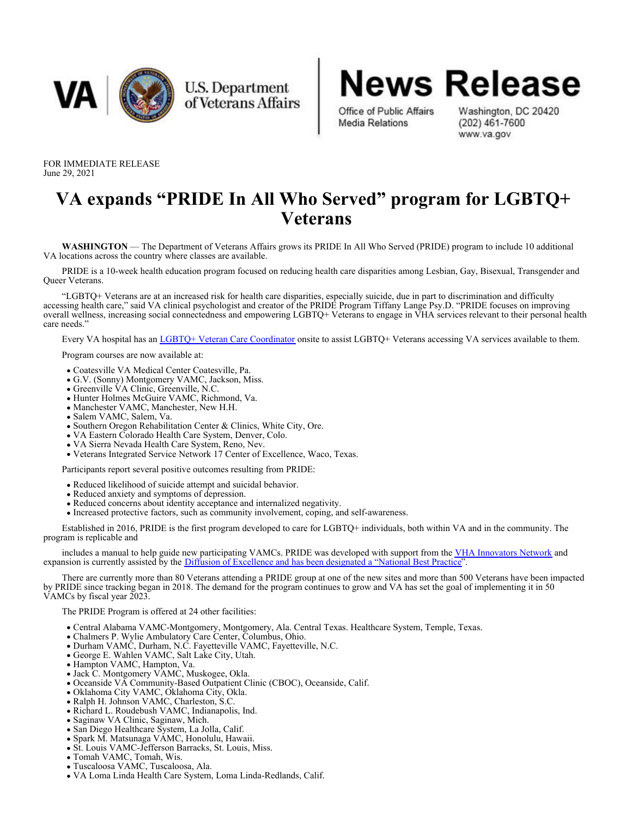

U.S. Department of Veterans Affairs



Washington, DC 20420  $(202)$  461-7600 www.va.gov

FOR IMMEDIATE RELEASE June 29, 2021

## **VA expands "PRIDE In All Who Served" program for LGBTQ+ Veterans**

**WASHINGTON** — The Department of Veterans Affairs grows its PRIDE In All Who Served (PRIDE) program to include 10 additional VA locations across the country where classes are available.

PRIDE is a 10-week health education program focused on reducing health care disparities among Lesbian, Gay, Bisexual, Transgender and Queer Veterans.

"LGBTQ+ Veterans are at an increased risk for health care disparities, especially suicide, due in part to discrimination and difficulty accessing health care," said VA clinical psychologist and creator of the PRIDE Program Tiffany Lange Psy.D. "PRIDE focuses on improving overall wellness, increasing social connectedness and empowering LGBTQ+ Veterans to engage in VHA services relevant to their personal health care needs.'

Every VA hospital has an *[LGBTQ+ Veteran Care Coordinator](https://www.patientcare.va.gov/LGBT/VAFacilities.asp)* onsite to assist LGBTQ+ Veterans accessing VA services available to them.

Program courses are now available at:

- Coatesville VA Medical Center Coatesville, Pa.
- G.V. (Sonny) Montgomery VAMC, Jackson, Miss.
- Greenville VA Clinic, Greenville, N.C.
- Hunter Holmes McGuire VAMC, Richmond, Va.
- Manchester VAMC, Manchester, New H.H.
- Salem VAMC, Salem, Va.
- Southern Oregon Rehabilitation Center & Clinics, White City, Ore.
- VA Eastern Colorado Health Care System, Denver, Colo.
- VA Sierra Nevada Health Care System, Reno, Nev.
- Veterans Integrated Service Network 17 Center of Excellence, Waco, Texas.

Participants report several positive outcomes resulting from PRIDE:

- Reduced likelihood of suicide attempt and suicidal behavior.
- Reduced anxiety and symptoms of depression.
- Reduced concerns about identity acceptance and internalized negativity.
- Increased protective factors, such as community involvement, coping, and self-awareness.

Established in 2016, PRIDE is the first program developed to care for LGBTQ+ individuals, both within VA and in the community. The program is replicable and

includes a manual to help guide new participating VAMCs. PRIDE was developed with support from the [VHA Innovators Network](https://www.va.gov/INNOVATIONECOSYSTEM/views/who-we-are/innovation-network.html) and expansion is currently assisted by the [Diffusion of Excellence and has been designated a "National Best Practice](https://www.va.gov/INNOVATIONECOSYSTEM/views/who-we-are/diffusion-of-excellence.html)".

There are currently more than 80 Veterans attending a PRIDE group at one of the new sites and more than 500 Veterans have been impacted by PRIDE since tracking began in 2018. The demand for the program continues to grow and VA has set the goal of implementing it in 50 VAMCs by fiscal year 2023.

The PRIDE Program is offered at 24 other facilities:

- Central Alabama VAMC-Montgomery, Montgomery, Ala. Central Texas. Healthcare System, Temple, Texas.
- Chalmers P. Wylie Ambulatory Care Center, Columbus, Ohio.
- Durham VAMC, Durham, N.C. Fayetteville VAMC, Fayetteville, N.C.
- George E. Wahlen VAMC, Salt Lake City, Utah.
- Hampton VAMC, Hampton, Va.
- Jack C. Montgomery VAMC, Muskogee, Okla.
- Oceanside VA Community-Based Outpatient Clinic (CBOC), Oceanside, Calif.
- Oklahoma City VAMC, Oklahoma City, Okla.
- Ralph H. Johnson VAMC, Charleston, S.C.
- Richard L. Roudebush VAMC, Indianapolis, Ind.
- Saginaw VA Clinic, Saginaw, Mich.
- San Diego Healthcare System, La Jolla, Calif.
- Spark M. Matsunaga VAMC, Honolulu, Hawaii.
- St. Louis VAMC-Jefferson Barracks, St. Louis, Miss.
- Tomah VAMC, Tomah, Wis.
- Tuscaloosa VAMC, Tuscaloosa, Ala.
- VA Loma Linda Health Care System, Loma Linda-Redlands, Calif.